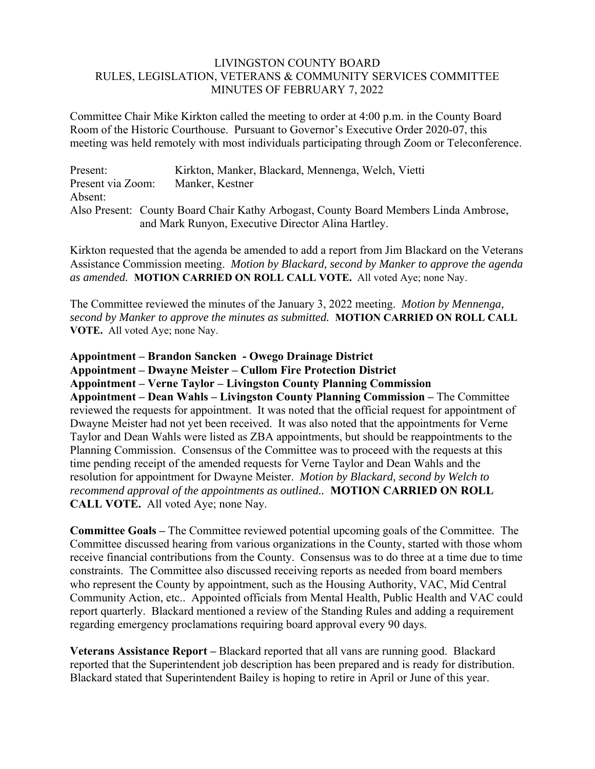## LIVINGSTON COUNTY BOARD RULES, LEGISLATION, VETERANS & COMMUNITY SERVICES COMMITTEE MINUTES OF FEBRUARY 7, 2022

Committee Chair Mike Kirkton called the meeting to order at 4:00 p.m. in the County Board Room of the Historic Courthouse. Pursuant to Governor's Executive Order 2020-07, this meeting was held remotely with most individuals participating through Zoom or Teleconference.

| Present:          | Kirkton, Manker, Blackard, Mennenga, Welch, Vietti                                   |
|-------------------|--------------------------------------------------------------------------------------|
| Present via Zoom: | Manker, Kestner                                                                      |
| Absent:           |                                                                                      |
|                   | Also Present: County Board Chair Kathy Arbogast, County Board Members Linda Ambrose, |
|                   | and Mark Runyon, Executive Director Alina Hartley.                                   |

Kirkton requested that the agenda be amended to add a report from Jim Blackard on the Veterans Assistance Commission meeting. *Motion by Blackard, second by Manker to approve the agenda as amended.* **MOTION CARRIED ON ROLL CALL VOTE.** All voted Aye; none Nay.

The Committee reviewed the minutes of the January 3, 2022 meeting. *Motion by Mennenga, second by Manker to approve the minutes as submitted.* **MOTION CARRIED ON ROLL CALL VOTE.** All voted Aye; none Nay.

**Appointment – Brandon Sancken - Owego Drainage District** 

**Appointment – Dwayne Meister – Cullom Fire Protection District** 

**Appointment – Verne Taylor – Livingston County Planning Commission** 

**Appointment – Dean Wahls – Livingston County Planning Commission –** The Committee reviewed the requests for appointment. It was noted that the official request for appointment of Dwayne Meister had not yet been received. It was also noted that the appointments for Verne Taylor and Dean Wahls were listed as ZBA appointments, but should be reappointments to the Planning Commission. Consensus of the Committee was to proceed with the requests at this time pending receipt of the amended requests for Verne Taylor and Dean Wahls and the resolution for appointment for Dwayne Meister. *Motion by Blackard, second by Welch to recommend approval of the appointments as outlined..* **MOTION CARRIED ON ROLL CALL VOTE.** All voted Aye; none Nay.

**Committee Goals –** The Committee reviewed potential upcoming goals of the Committee. The Committee discussed hearing from various organizations in the County, started with those whom receive financial contributions from the County. Consensus was to do three at a time due to time constraints. The Committee also discussed receiving reports as needed from board members who represent the County by appointment, such as the Housing Authority, VAC, Mid Central Community Action, etc.. Appointed officials from Mental Health, Public Health and VAC could report quarterly. Blackard mentioned a review of the Standing Rules and adding a requirement regarding emergency proclamations requiring board approval every 90 days.

**Veterans Assistance Report –** Blackard reported that all vans are running good. Blackard reported that the Superintendent job description has been prepared and is ready for distribution. Blackard stated that Superintendent Bailey is hoping to retire in April or June of this year.